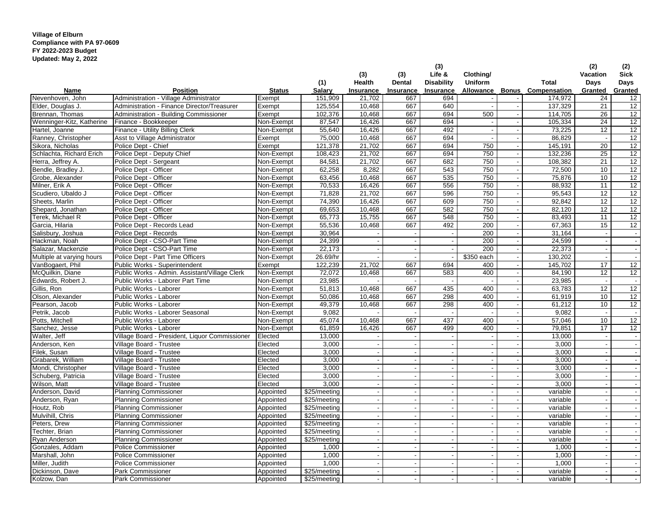## **Village of Elburn Compliance with PA 97-0609 FY 2022-2023 Budget Updated: May 2, 2022**

|                           |                                                |               |              | (3)                      | (3)                      | (3)<br>Life &            | Clothing/                |                          |                           | (2)<br>Vacation          | (2)<br><b>Sick</b>       |
|---------------------------|------------------------------------------------|---------------|--------------|--------------------------|--------------------------|--------------------------|--------------------------|--------------------------|---------------------------|--------------------------|--------------------------|
|                           |                                                |               | (1)          | Health                   | Dental                   | <b>Disability</b>        | Uniform                  |                          | <b>Total</b>              | Days                     | Days                     |
| Name                      | <b>Position</b>                                | <b>Status</b> | Salary       | Insurance                | Insurance                | Insurance                | Allowance                |                          | <b>Bonus</b> Compensation | Granted                  | Granted                  |
| Nevenhoven, John          | Administration - Village Administrator         | Exempt        | 151,909      | 21,702                   | 667                      | 694                      |                          |                          | 174,972                   | 24                       | 12                       |
| Elder, Douglas J.         | Administration - Finance Director/Treasurer    | Exempt        | 125,554      | 10,468                   | 667                      | 640                      | $\blacksquare$           |                          | 137,329                   | 21                       | 12                       |
| Brennan, Thomas           | Administration - Building Commissioner         | Exempt        | 102,376      | 10.468                   | 667                      | 694                      | 500                      |                          | 114,705                   | 26                       | 12                       |
| Wenninger-Kitz, Katherine | Finance - Bookkeeper                           | Non-Exempt    | 87,547       | 16,426                   | 667                      | 694                      |                          |                          | 105,334                   | 24                       | 12                       |
| Hartel, Joanne            | Finance - Utility Billing Clerk                | Non-Exempt    | 55,640       | 16,426                   | 667                      | 492                      | $\sim$                   |                          | 73,225                    | $\overline{12}$          | 12                       |
| Ranney, Christopher       | Asst to Village Administrator                  | Exempt        | 75,000       | 10.468                   | 667                      | 694                      | $\overline{\phantom{a}}$ |                          | 86,829                    | $\overline{\phantom{a}}$ | 12                       |
| Sikora, Nicholas          | Police Dept - Chief                            | Exempt        | 121,378      | 21,702                   | 667                      | 694                      | 750                      | $\overline{\phantom{a}}$ | 145,191                   | $\overline{20}$          | 12                       |
| Schlachta, Richard Erich  | Police Dept - Deputy Chief                     | Non-Exempt    | 108,423      | 21,702                   | 667                      | 694                      | 750                      |                          | 132,236                   | $\overline{25}$          | 12                       |
| Herra, Jeffrey A.         | Police Dept - Sergeant                         | Non-Exempt    | 84,581       | 21.702                   | 667                      | 682                      | 750                      |                          | 108,382                   | 21                       | 12                       |
| Bendle, Bradley J.        | Police Dept - Officer                          | Non-Exempt    | 62,258       | 8.282                    | 667                      | 543                      | 750                      |                          | 72,500                    | 10 <sup>10</sup>         | 12                       |
| Grobe, Alexander          | Police Dept - Officer                          | Non-Exempt    | 63,456       | 10,468                   | 667                      | 535                      | 750                      | $\overline{\phantom{a}}$ | 75,876                    | 10                       | 12                       |
| Milner, Erik A            | Police Dept - Officer                          | Non-Exempt    | 70.533       | 16.426                   | 667                      | 556                      | 750                      | $\overline{\phantom{a}}$ | 88.932                    | 11                       | 12                       |
| Scudiero, Ubaldo J        | Police Dept - Officer                          | Non-Exempt    | 71,828       | 21,702                   | 667                      | 596                      | 750                      |                          | 95,543                    | 12                       | 12                       |
| Sheets, Marlin            | Police Dept - Officer                          | Non-Exempt    | 74,390       | 16,426                   | 667                      | 609                      | 750                      |                          | 92,842                    | 12                       | 12                       |
| Shepard, Jonathan         | Police Dept - Officer                          | Non-Exempt    | 69,653       | 10,468                   | 667                      | 582                      | 750                      |                          | 82,120                    | 12                       | 12                       |
| Terek, Michael R          | Police Dept - Officer                          | Non-Exempt    | 65,773       | 15,755                   | 667                      | 548                      | 750                      | $\overline{\phantom{a}}$ | 83,493                    | 11                       | 12                       |
| Garcia, Hilaria           | Police Dept - Records Lead                     | Non-Exempt    | 55,536       | 10.468                   | 667                      | 492                      | 200                      |                          | 67,363                    | 15                       | 12                       |
| Salisbury, Joshua         | Police Dept - Records                          | Non-Exempt    | 30,964       |                          |                          |                          | 200                      |                          | 31,164                    |                          |                          |
| Hackman, Noah             | Police Dept - CSO-Part Time                    | Non-Exempt    | 24,399       | $\overline{\phantom{a}}$ |                          |                          | 200                      | $\overline{\phantom{a}}$ | 24,599                    | $\overline{\phantom{a}}$ | $\overline{\phantom{a}}$ |
| Salazar, Mackenzie        | Police Dept - CSO-Part Time                    | Non-Exempt    | 22,173       |                          |                          |                          | 200                      |                          | 22,373                    |                          | $\sim$                   |
| Multiple at varying hours | Police Dept - Part Time Officers               | Non-Exempt    | 26.69/hr     |                          |                          |                          | \$350 each               |                          | 130,202                   |                          |                          |
| VanBogaert, Phil          | Public Works - Superintendent                  | Exempt        | 122,239      | 21.702                   | 667                      | 694                      | 400                      |                          | 145,702                   | 17                       | 12                       |
| McQuilkin, Diane          | Public Works - Admin. Assistant/Village Clerk  | Non-Exempt    | 72,072       | 10.468                   | 667                      | 583                      | 400                      |                          | 84,190                    | 12 <sup>2</sup>          | 12                       |
| Edwards, Robert J         | Public Works - Laborer Part Time               | Non-Exempt    | 23,985       |                          | $\overline{\phantom{a}}$ |                          |                          |                          | 23,985                    | $\overline{\phantom{a}}$ |                          |
| Gillis, Ron               | Public Works - Laborer                         | Non-Exempt    | 51,813       | 10,468                   | 667                      | 435                      | 400                      |                          | 63,783                    | 12 <sup>°</sup>          | 12                       |
| Olson, Alexander          | Public Works - Laborer                         | Non-Exempt    | 50,086       | 10,468                   | 667                      | 298                      | 400                      |                          | 61,919                    | 10 <sup>1</sup>          | 12                       |
| Pearson, Jacob            | Public Works - Laborer                         | Non-Exempt    | 49,379       | 10,468                   | 667                      | 298                      | 400                      |                          | 61,212                    | 10 <sup>1</sup>          | 12                       |
| Petrik, Jacob             | Public Works - Laborer Seasonal                | Non-Exempt    | 9,082        |                          |                          |                          |                          | $\overline{\phantom{a}}$ | 9,082                     | $\overline{\phantom{a}}$ |                          |
| Potts, Mitchell           | Public Works - Laborer                         | Non-Exempt    | 45,074       | 10,468                   | 667                      | 437                      | 400                      |                          | 57,046                    | 10                       | 12                       |
| Sanchez, Jesse            | Public Works - Laborer                         | Non-Exempt    | 61,859       | 16,426                   | 667                      | 499                      | 400                      |                          | 79,851                    | 17                       | 12                       |
| Walter, Jeff              | Village Board - President, Liquor Commissioner | Elected       | 13,000       |                          |                          |                          | $\overline{\phantom{a}}$ |                          | 13,000                    |                          |                          |
| Anderson, Ken             | Village Board - Trustee                        | Elected       | 3,000        |                          |                          |                          | $\overline{\phantom{a}}$ |                          | 3,000                     |                          |                          |
| Filek, Susan              | Village Board - Trustee                        | Elected       | 3,000        |                          | $\blacksquare$           |                          | $\blacksquare$           |                          | 3,000                     |                          |                          |
| Grabarek, William         | Village Board - Trustee                        | Elected       | 3,000        | ٠.                       |                          |                          | $\blacksquare$           |                          | 3,000                     | $\overline{\phantom{a}}$ |                          |
| Mondi, Christopher        | Village Board - Trustee                        | Elected       | 3,000        |                          |                          |                          | $\blacksquare$           | $\overline{\phantom{a}}$ | 3,000                     | $\blacksquare$           |                          |
| Schuberg, Patricia        | Village Board - Trustee                        | Elected       | 3,000        | $\overline{\phantom{a}}$ |                          |                          | $\overline{\phantom{a}}$ | $\overline{\phantom{a}}$ | 3,000                     | $\overline{\phantom{a}}$ |                          |
| Wilson, Matt              | Village Board - Trustee                        | Elected       | 3,000        |                          |                          |                          | $\overline{\phantom{a}}$ |                          | 3.000                     |                          |                          |
| Anderson, David           | <b>Planning Commissioner</b>                   | Appointed     | \$25/meeting |                          |                          |                          | $\blacksquare$           |                          | variable                  |                          |                          |
| Anderson, Ryan            | <b>Planning Commissioner</b>                   | Appointed     | \$25/meeting |                          |                          |                          | $\overline{\phantom{a}}$ |                          | variable                  |                          |                          |
| Houtz, Rob                | <b>Planning Commissioner</b>                   | Appointed     | \$25/meeting |                          |                          |                          | $\blacksquare$           |                          | variable                  |                          |                          |
| Mulvihill, Chris          | <b>Planning Commissioner</b>                   | Appointed     | \$25/meeting | <b>.</b>                 | $\overline{\phantom{a}}$ |                          | $\overline{\phantom{a}}$ | $\overline{\phantom{a}}$ | variable                  | $\overline{\phantom{a}}$ |                          |
| Peters, Drew              | <b>Planning Commissioner</b>                   | Appointed     | \$25/meeting |                          |                          |                          | $\blacksquare$           |                          | variable                  |                          |                          |
| Techter, Brian            | <b>Planning Commissioner</b>                   | Appointed     | \$25/meeting | $\overline{\phantom{a}}$ |                          |                          | $\sim$                   |                          | variable                  | ÷,                       |                          |
| <b>Ryan Anderson</b>      | <b>Planning Commissioner</b>                   | Appointed     | \$25/meeting |                          |                          |                          |                          |                          | variable                  |                          |                          |
| Gonzales, Addam           | <b>Police Commissioner</b>                     | Appointed     | 1,000        | $\overline{\phantom{a}}$ | $\overline{a}$           | $\overline{\phantom{a}}$ | $\blacksquare$           |                          | 1,000                     | $\blacksquare$           |                          |
| Marshall, John            | <b>Police Commissioner</b>                     | Appointed     | 1,000        | $\overline{\phantom{a}}$ | $\overline{a}$           |                          | $\sim$                   |                          | 1,000                     | $\overline{a}$           |                          |
| Miller, Judith            | <b>Police Commissioner</b>                     | Appointed     | 1,000        |                          |                          |                          |                          |                          | 1,000                     |                          |                          |
| Dickinson, Dave           | Park Commissioner                              | Appointed     | \$25/meeting |                          |                          |                          | $\blacksquare$           |                          | variable                  |                          |                          |
| Kolzow, Dan               | Park Commissioner                              | Appointed     | \$25/meeting |                          |                          |                          |                          |                          | variable                  |                          |                          |
|                           |                                                |               |              |                          |                          |                          |                          |                          |                           |                          |                          |